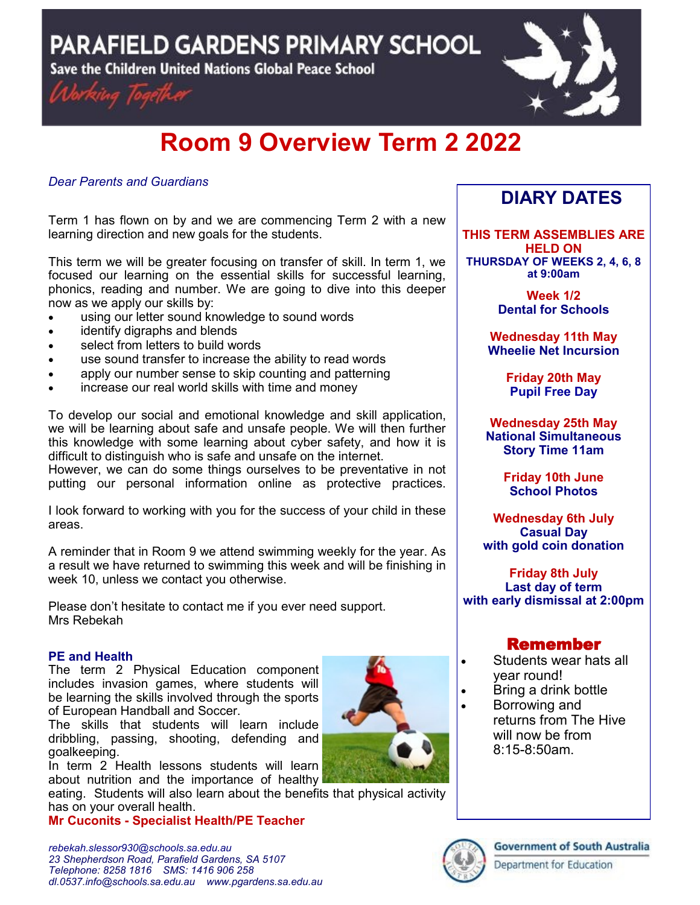PARAFIELD GARDENS PRIMARY SCHOOL

Save the Children United Nations Global Peace School





# **Room 9 Overview Term 2 2022**

### *Dear Parents and Guardians*

Term 1 has flown on by and we are commencing Term 2 with a new learning direction and new goals for the students.

This term we will be greater focusing on transfer of skill. In term 1, we focused our learning on the essential skills for successful learning, phonics, reading and number. We are going to dive into this deeper now as we apply our skills by:

- using our letter sound knowledge to sound words
- identify digraphs and blends
- select from letters to build words
- use sound transfer to increase the ability to read words
- apply our number sense to skip counting and patterning
- increase our real world skills with time and money

To develop our social and emotional knowledge and skill application, we will be learning about safe and unsafe people. We will then further this knowledge with some learning about cyber safety, and how it is difficult to distinguish who is safe and unsafe on the internet.

However, we can do some things ourselves to be preventative in not putting our personal information online as protective practices.

I look forward to working with you for the success of your child in these areas.

A reminder that in Room 9 we attend swimming weekly for the year. As a result we have returned to swimming this week and will be finishing in week 10, unless we contact you otherwise.

Please don't hesitate to contact me if you ever need support. Mrs Rebekah

#### **PE and Health**

The term 2 Physical Education component includes invasion games, where students will be learning the skills involved through the sports of European Handball and Soccer.

The skills that students will learn include dribbling, passing, shooting, defending and goalkeeping.

In term 2 Health lessons students will learn about nutrition and the importance of healthy

eating. Students will also learn about the benefits that physical activity has on your overall health.

**Mr Cuconits - Specialist Health/PE Teacher** 



# **DIARY DATES**

**THIS TERM ASSEMBLIES ARE HELD ON THURSDAY OF WEEKS 2, 4, 6, 8 at 9:00am** 

> **Week 1/2 Dental for Schools**

**Wednesday 11th May Wheelie Net Incursion**

> **Friday 20th May Pupil Free Day**

**Wednesday 25th May National Simultaneous Story Time 11am**

> **Friday 10th June School Photos**

**Wednesday 6th July Casual Day with gold coin donation**

**Friday 8th July Last day of term with early dismissal at 2:00pm**

## Remember

- Students wear hats all year round!
- Bring a drink bottle
- Borrowing and returns from The Hive will now be from 8:15-8:50am.